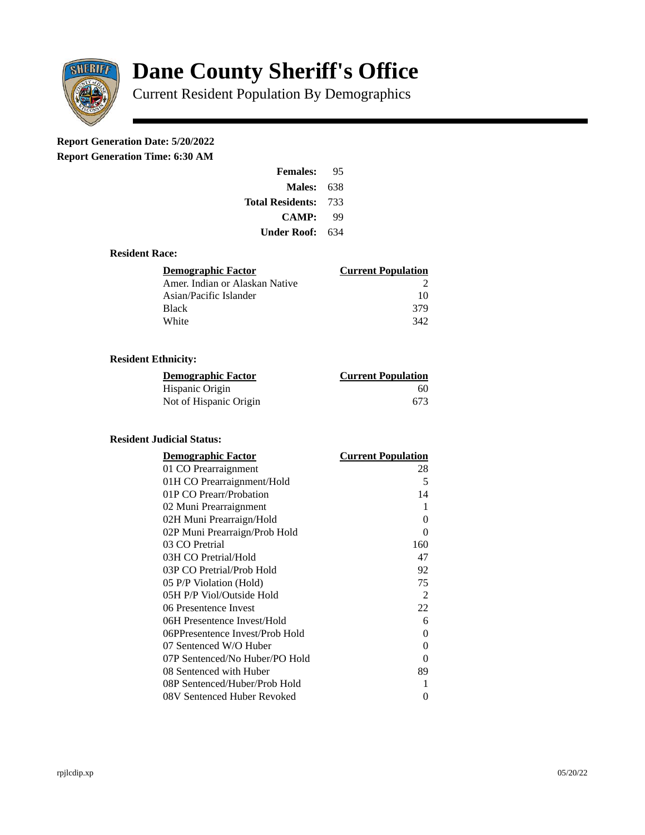

# **Dane County Sheriff's Office**

Current Resident Population By Demographics

# **Report Generation Date: 5/20/2022**

**Report Generation Time: 6:30 AM** 

| <b>Females:</b>         | 95  |
|-------------------------|-----|
| Males:                  | 638 |
| <b>Total Residents:</b> | 733 |
| <b>CAMP:</b>            | qq  |
| Under Roof:             | 634 |

### **Resident Race:**

| Demographic Factor             | <b>Current Population</b> |
|--------------------------------|---------------------------|
| Amer. Indian or Alaskan Native |                           |
| Asian/Pacific Islander         | 10                        |
| Black                          | 379                       |
| White                          | 342                       |

## **Resident Ethnicity:**

| <u>Demographic Factor</u> | <u>Current Population</u> |
|---------------------------|---------------------------|
| Hispanic Origin           | 60                        |
| Not of Hispanic Origin    | 673                       |

### **Resident Judicial Status:**

| <b>Demographic Factor</b>       | <b>Current Population</b> |
|---------------------------------|---------------------------|
| 01 CO Prearraignment            | 28                        |
| 01H CO Prearraignment/Hold      | 5                         |
| 01P CO Prearr/Probation         | 14                        |
| 02 Muni Prearraignment          | 1                         |
| 02H Muni Prearraign/Hold        | 0                         |
| 02P Muni Prearraign/Prob Hold   | 0                         |
| 03 CO Pretrial                  | 160                       |
| 03H CO Pretrial/Hold            | 47                        |
| 03P CO Pretrial/Prob Hold       | 92                        |
| 05 P/P Violation (Hold)         | 75                        |
| 05H P/P Viol/Outside Hold       | 2                         |
| 06 Presentence Invest           | 22                        |
| 06H Presentence Invest/Hold     | 6                         |
| 06PPresentence Invest/Prob Hold | 0                         |
| 07 Sentenced W/O Huber          | 0                         |
| 07P Sentenced/No Huber/PO Hold  | 0                         |
| 08 Sentenced with Huber         | 89                        |
| 08P Sentenced/Huber/Prob Hold   | 1                         |
| 08V Sentenced Huber Revoked     | 0                         |